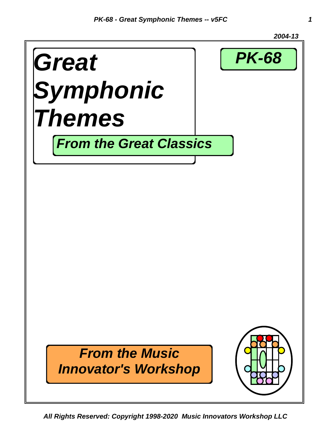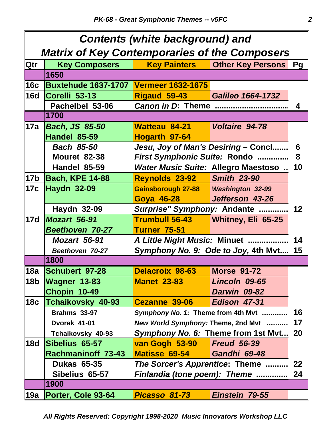| <b>Contents (white background) and</b>               |                                              |                                            |                                         |    |
|------------------------------------------------------|----------------------------------------------|--------------------------------------------|-----------------------------------------|----|
| <b>Matrix of Key Contemporaries of the Composers</b> |                                              |                                            |                                         |    |
| <b>Qtr</b>                                           | <b>Key Composers</b>                         |                                            | <b>Key Painters   Other Key Persons</b> | Pg |
|                                                      | 1650                                         |                                            |                                         |    |
| 16c                                                  | <b>Buxtehude 1637-1707 Vermeer 1632-1675</b> |                                            |                                         |    |
| <b>16d</b>                                           | Corelli 53-13                                | <b>Rigaud 59-43</b> Galileo 1664-1732      |                                         |    |
|                                                      | Pachelbel 53-06                              | <b>Canon in D: Theme </b>                  |                                         | 4  |
|                                                      | 1700                                         |                                            |                                         |    |
| 17a                                                  | <b>Bach, JS 85-50</b>                        | Watteau 84-21                              | <b>Voltaire 94-78</b>                   |    |
|                                                      | Handel 85-59                                 | Hogarth 97-64                              |                                         |    |
|                                                      | <b>Bach 85-50</b>                            | Jesu, Joy of Man's Desiring - Concl        |                                         | 6  |
|                                                      | <b>Mouret 82-38</b>                          | First Symphonic Suite: Rondo               |                                         | 8  |
|                                                      | <b>Handel 85-59</b>                          | <b>Water Music Suite: Allegro Maestoso</b> |                                         | 10 |
| 17 <sub>b</sub>                                      | Bach, KPE 14-88                              | <b>Reynolds 23-92 Smith 23-90</b>          |                                         |    |
| 17c                                                  | <b>Haydn 32-09</b>                           |                                            |                                         |    |
|                                                      |                                              | <b>Goya 46-28</b>                          | Jefferson 43-26                         |    |
|                                                      | <b>Haydn 32-09</b>                           | Surprise" Symphony: Andante<br>12          |                                         |    |
| 17d                                                  | Mozart 56-91                                 | <b>Trumbull 56-43</b>                      | <b>Whitney, Eli 65-25</b>               |    |
|                                                      | <b>Beethoven 70-27</b>                       | <b>Turner 75-51</b>                        |                                         |    |
|                                                      | <b>Mozart 56-91</b>                          | A Little Night Music: Minuet               |                                         | 14 |
|                                                      | Beethoven 70-27                              | Symphony No. 9: Ode to Joy, 4th Mvt        |                                         | 15 |
|                                                      | 1800                                         |                                            |                                         |    |
| 18a                                                  | <b>Schubert 97-28</b>                        | Delacroix 98-63                            | <b>Morse 91-72</b>                      |    |
| ∥18b                                                 | <b>Wagner 13-83</b>                          | <b>Manet 23-83</b>                         | Lincoln 09-65                           |    |
|                                                      | Chopin 10-49                                 |                                            | Darwin 09-82                            |    |
| 18c                                                  | Tchaikovsky 40-93                            | Cezanne 39-06                              | Edison 47-31                            |    |
|                                                      | <b>Brahms 33-97</b>                          | Symphony No. 1: Theme from 4th Mvt         |                                         | 16 |
|                                                      | Dvorak 41-01                                 | New World Symphony: Theme, 2nd Mvt         |                                         | 17 |
|                                                      | Tchaikovsky 40-93                            | Symphony No. 6: Theme from 1st Mvt 20      |                                         |    |
| <b>18d</b>                                           | Sibelius 65-57                               | van Gogh 53-90                             | <b>Freud 56-39</b>                      |    |
|                                                      | <b>Rachmaninoff 73-43</b>                    | <b>Matisse 69-54</b>                       | Gandhi 69-48                            |    |
|                                                      | <b>Dukas 65-35</b>                           | The Sorcer's Apprentice: Theme             |                                         | 22 |
|                                                      | Sibelius 65-57                               | Finlandia (tone poem): Theme               |                                         | 24 |
|                                                      | 1900                                         |                                            |                                         |    |
| 19a                                                  | Porter, Cole 93-64                           | Picasso 81-73                              | Einstein 79-55                          |    |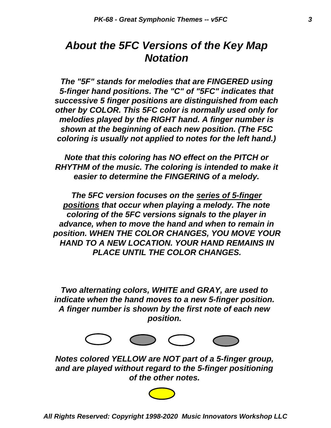### *About the 5FC Versions of the Key Map Notation*

*The "5F" stands for melodies that are FINGERED using 5-finger hand positions. The "C" of "5FC" indicates that successive 5 finger positions are distinguished from each other by COLOR. This 5FC color is normally used only for melodies played by the RIGHT hand. A finger number is shown at the beginning of each new position. (The F5C coloring is usually not applied to notes for the left hand.)*

*Note that this coloring has NO effect on the PITCH or RHYTHM of the music. The coloring is intended to make it easier to determine the FINGERING of a melody.*

*The 5FC version focuses on the series of 5-finger positions that occur when playing a melody. The note coloring of the 5FC versions signals to the player in advance, when to move the hand and when to remain in position. WHEN THE COLOR CHANGES, YOU MOVE YOUR HAND TO A NEW LOCATION. YOUR HAND REMAINS IN PLACE UNTIL THE COLOR CHANGES.*

*position. A finger number is shown by the first note of each new indicate when the hand moves to a new 5-finger position. Two alternating colors, WHITE and GRAY, are used to*



*of the other notes. and are played without regard to the 5-finger positioning Notes colored YELLOW are NOT part of a 5-finger group,*

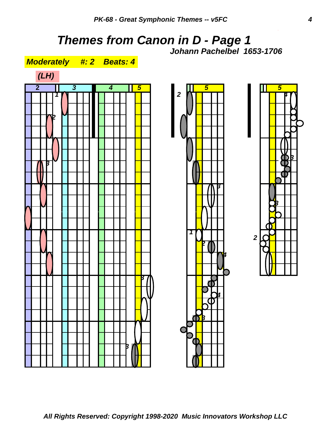# *Themes from Canon in D - Page 1*



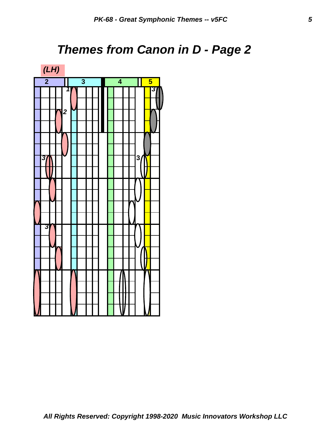# *Themes from Canon in D - Page 2*

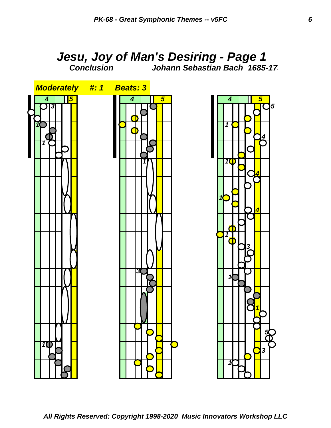#### *Jesu, Joy of Man's Desiring - Page 1 Conclusion Johann Sebastian Bach 1685-175*

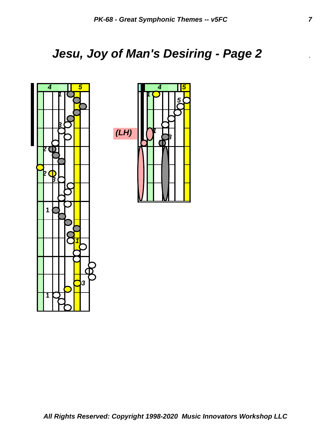# *Jesu, Joy of Man's Desiring - Page 2* .



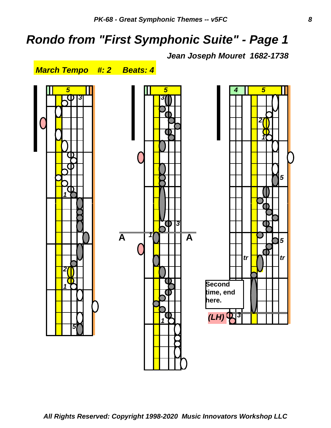## *Rondo from "First Symphonic Suite" - Page 1*

*Jean Joseph Mouret 1682-1738* 



*5*

*5*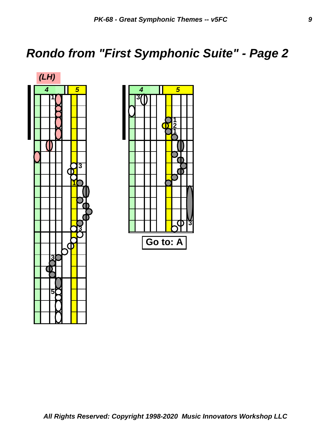# *Rondo from "First Symphonic Suite" - Page 2*



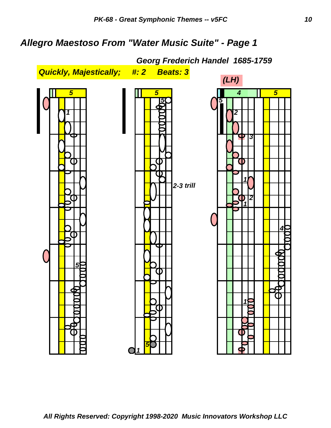#### *Allegro Maestoso From "Water Music Suite" - Page 1*

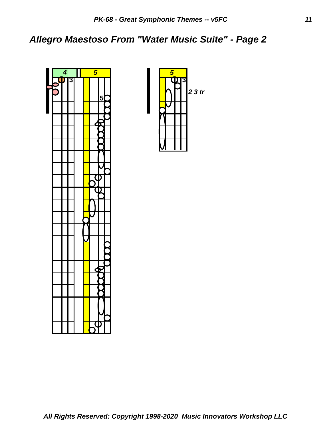#### *Allegro Maestoso From "Water Music Suite" - Page 2*



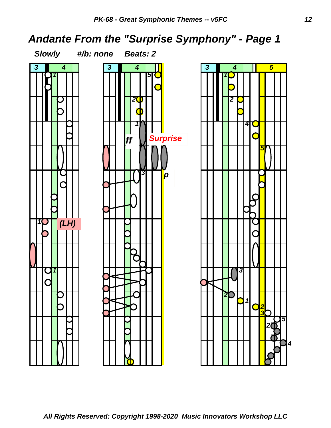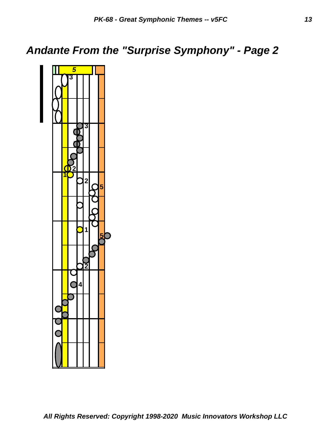## *Andante From the "Surprise Symphony" - Page 2*

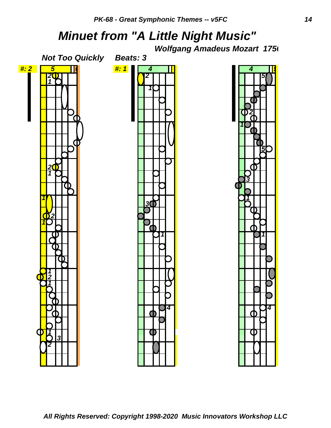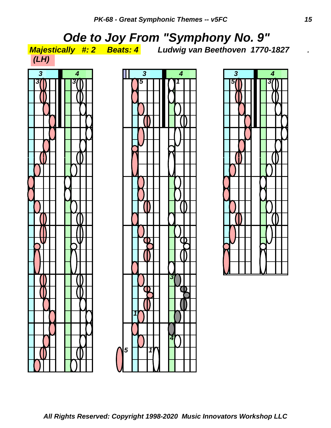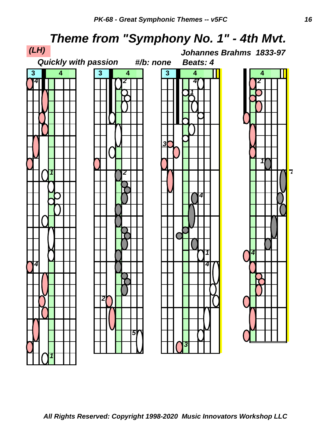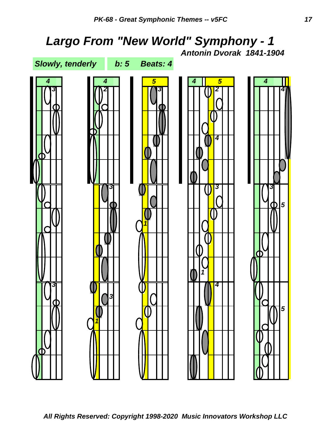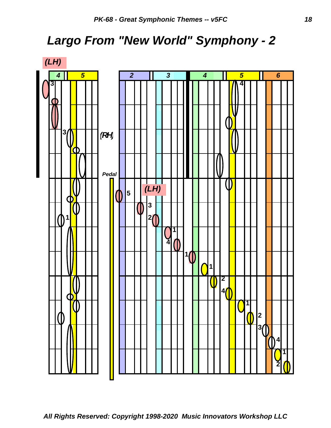# *Largo From "New World" Symphony - 2*

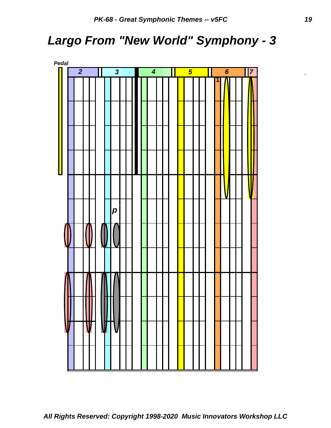# *Largo From "New World" Symphony - 3*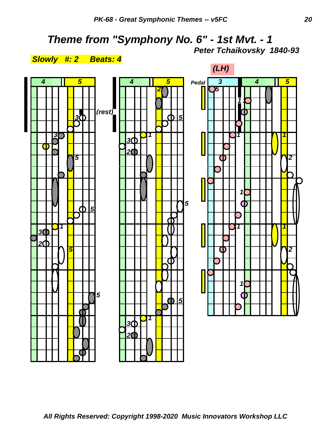# *Theme from "Symphony No. 6" - 1st Mvt. - 1*



### *Peter Tchaikovsky 1840-93*

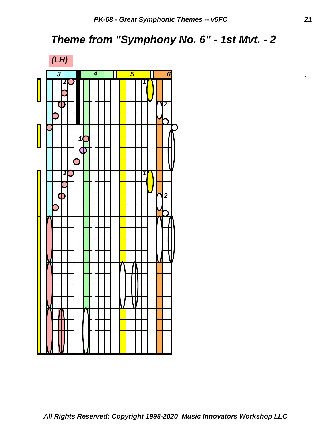## *Theme from "Symphony No. 6" - 1st Mvt. - 2*

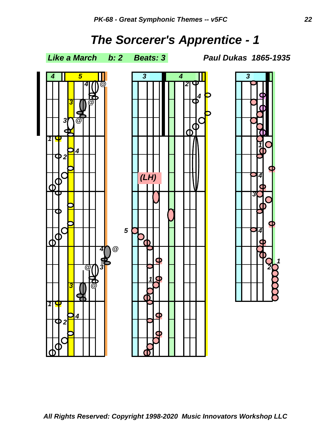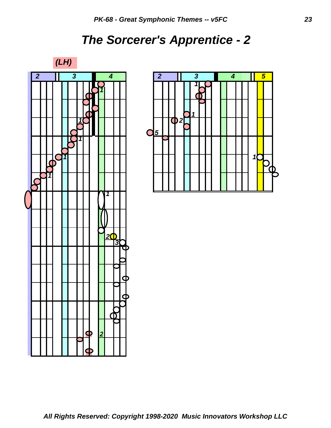# *The Sorcerer's Apprentice - 2*